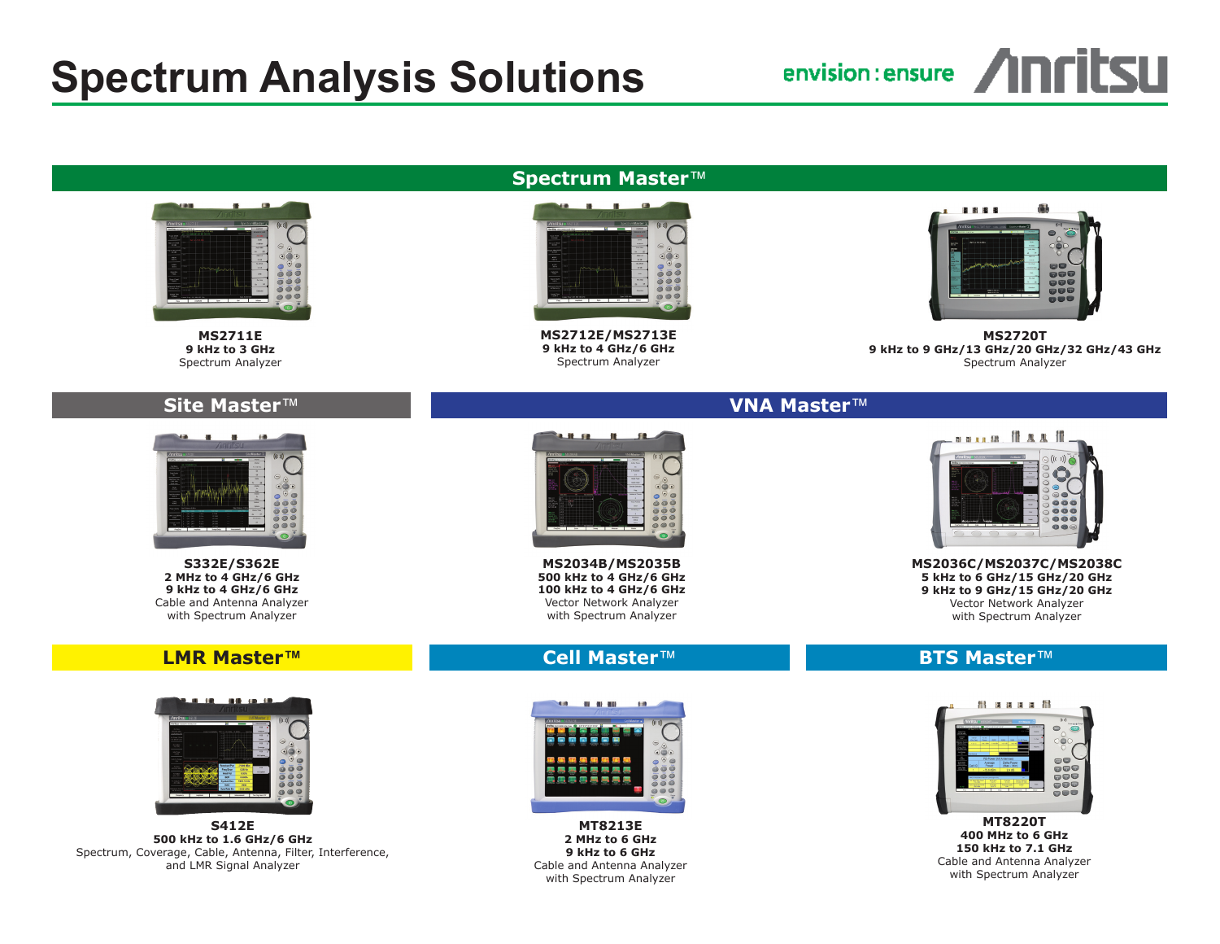# **Spectrum Analysis Solutions**



# **Spectrum Master**™



**MS2711E 9 kHz to 3 GHz** Spectrum Analyzer

#### **Site Master**™



**S332E/S362E 2 MHz to 4 GHz/6 GHz 9 kHz to 4 GHz/6 GHz** Cable and Antenna Analyzer with Spectrum Analyzer

#### **LMR Master™**



**S412E 500 kHz to 1.6 GHz/6 GHz** Spectrum, Coverage, Cable, Antenna, Filter, Interference, and LMR Signal Analyzer



**MS2712E/MS2713E 9 kHz to 4 GHz/6 GHz** Spectrum Analyzer



**MS2720T 9 kHz to 9 GHz/13 GHz/20 GHz/32 GHz/43 GHz** Spectrum Analyzer

# **VNA Master**™



**MS2034B/MS2035B 500 kHz to 4 GHz/6 GHz 100 kHz to 4 GHz/6 GHz** Vector Network Analyzer with Spectrum Analyzer

## **Cell Master**™



**MT8213E 2 MHz to 6 GHz 9 kHz to 6 GHz** Cable and Antenna Analyzer with Spectrum Analyzer



**MS2036C/MS2037C/MS2038C 5 kHz to 6 GHz/15 GHz/20 GHz 9 kHz to 9 GHz/15 GHz/20 GHz** Vector Network Analyzer with Spectrum Analyzer

## **BTS Master**™



Cable and Antenna Analyzer with Spectrum Analyzer